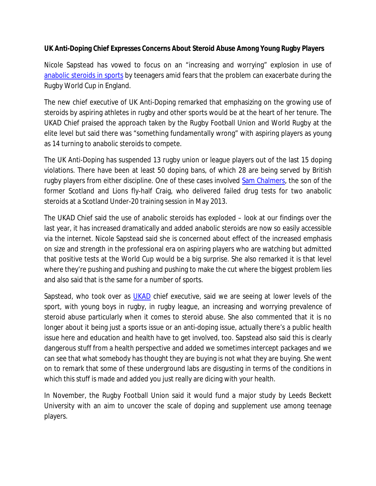**UK Anti-Doping Chief Expresses Concerns About Steroid Abuse Among Young Rugby Players**

Nicole Sapstead has vowed to focus on an "increasing and worrying" explosion in use of anabolic steroids in sports by teenagers amid fears that the problem can exacerbate during the Rugby World Cup in England.

The new chief executive of UK Anti-Doping remarked that emphasizing on the growing use of steroids by aspiring athletes in rugby and other sports would be at the heart of her tenure. The UKAD Chief praised the approach taken by the Rugby Football Union and World Rugby at the elite level but said there was "something fundamentally wrong" with aspiring players as young as 14 turning to anabolic steroids to compete.

The UK Anti-Doping has suspended 13 rugby union or league players out of the last 15 doping violations. There have been at least 50 doping bans, of which 28 are being served by British rugby players from either discipline. One of these cases involved Sam Chalmers, the son of the former Scotland and Lions fly-half Craig, who delivered failed drug tests for two anabolic steroids at a Scotland Under-20 training session in May 2013.

The UKAD Chief said the use of anabolic steroids has exploded – look at our findings over the last year, it has increased dramatically and added anabolic steroids are now so easily accessible via the internet. Nicole Sapstead said she is concerned about effect of the increased emphasis on size and strength in the professional era on aspiring players who are watching but admitted that positive tests at the World Cup would be a big surprise. She also remarked it is that level where they're pushing and pushing and pushing to make the cut where the biggest problem lies and also said that is the same for a number of sports.

Sapstead, who took over as *UKAD* chief executive, said we are seeing at lower levels of the sport, with young boys in rugby, in rugby league, an increasing and worrying prevalence of steroid abuse particularly when it comes to steroid abuse. She also commented that it is no longer about it being just a sports issue or an anti-doping issue, actually there's a public health issue here and education and health have to get involved, too. Sapstead also said this is clearly dangerous stuff from a health perspective and added we sometimes intercept packages and we can see that what somebody has thought they are buying is not what they are buying. She went on to remark that some of these underground labs are disgusting in terms of the conditions in which this stuff is made and added you just really are dicing with your health.

In November, the Rugby Football Union said it would fund a major study by Leeds Beckett University with an aim to uncover the scale of doping and supplement use among teenage players.